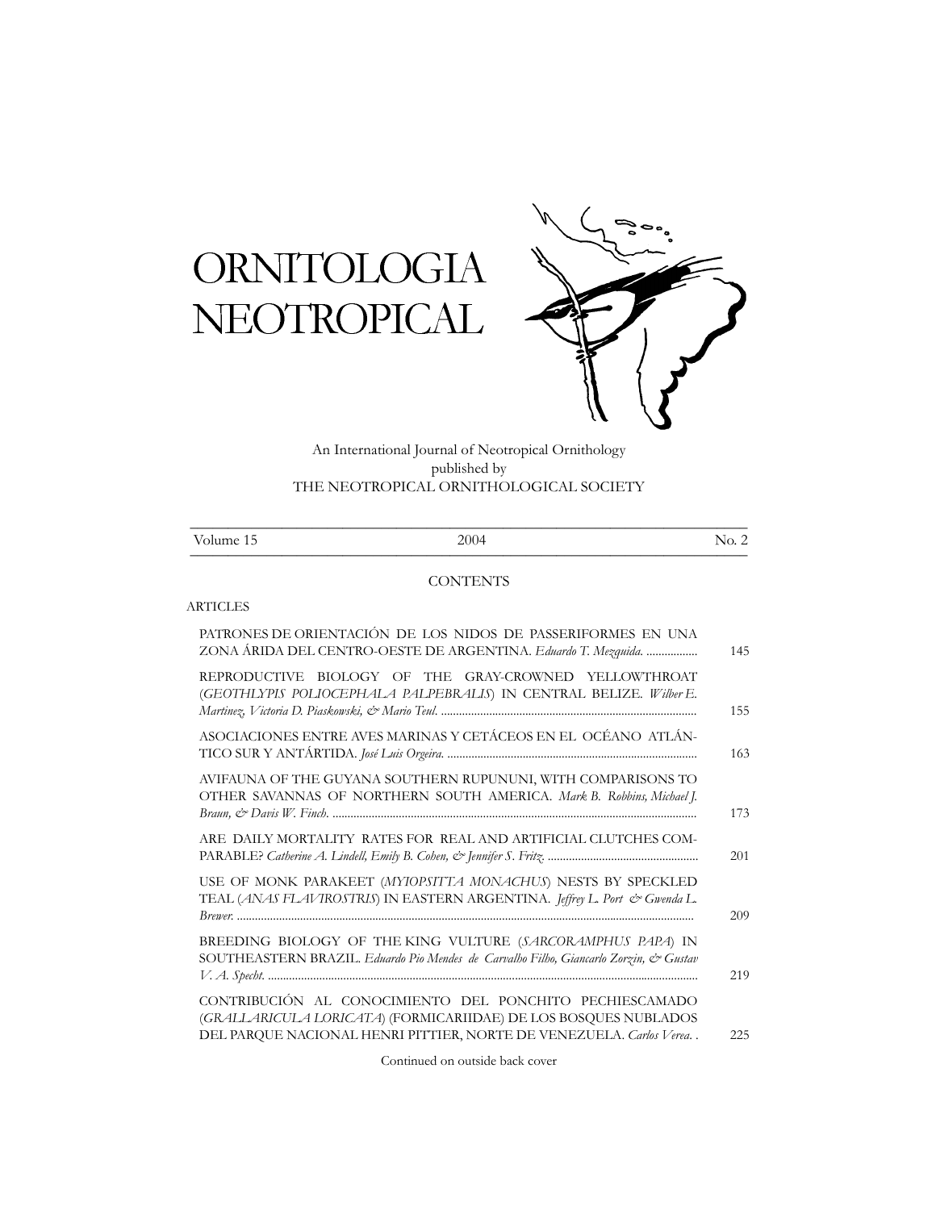# **ORNITOLOGIA** NEOTROPICAL



An International Journal of Neotropical Ornithology published by THE NEOTROPICAL ORNITHOLOGICAL SOCIETY

| 2004 | ↖.<br>$\overline{\phantom{a}}$ |
|------|--------------------------------|
|      |                                |

## **CONTENTS**

## ARTICLES

| PATRONES DE ORIENTACIÓN DE LOS NIDOS DE PASSERIFORMES EN UNA<br>ZONA ÁRIDA DEL CENTRO-OESTE DE ARGENTINA. Eduardo T. Mezquida.                                                                    | 145 |
|---------------------------------------------------------------------------------------------------------------------------------------------------------------------------------------------------|-----|
| REPRODUCTIVE BIOLOGY OF THE GRAY-CROWNED YELLOWTHROAT<br>(GEOTHLYPIS POLIOCEPHALA PALPEBRALIS) IN CENTRAL BELIZE. Wilber E.                                                                       | 155 |
| ASOCIACIONES ENTRE AVES MARINAS Y CETÁCEOS EN EL OCÉANO ATLÁN-                                                                                                                                    | 163 |
| AVIFAUNA OF THE GUYANA SOUTHERN RUPUNUNI, WITH COMPARISONS TO<br>OTHER SAVANNAS OF NORTHERN SOUTH AMERICA. Mark B. Robbins, Michael J.                                                            | 173 |
| ARE DAILY MORTALITY RATES FOR REAL AND ARTIFICIAL CLUTCHES COM-                                                                                                                                   | 201 |
| USE OF MONK PARAKEET (MYIOPSITTA MONACHUS) NESTS BY SPECKLED<br>TEAL (ANAS FLAVIROSTRIS) IN EASTERN ARGENTINA. Jeffrey L. Port & Gwenda L.                                                        | 209 |
| BREEDING BIOLOGY OF THE KING VULTURE (SARCORAMPHUS PAPA) IN<br>SOUTHEASTERN BRAZIL. Eduardo Pio Mendes de Carvalho Filho, Giancarlo Zorzin, & Gustav                                              | 219 |
| CONTRIBUCIÓN AL CONOCIMIENTO DEL PONCHITO PECHIESCAMADO<br>(GRALLARICULA LORICATA) (FORMICARIIDAE) DE LOS BOSQUES NUBLADOS<br>DEL PARQUE NACIONAL HENRI PITTIER, NORTE DE VENEZUELA. Carlos Verea | 225 |
|                                                                                                                                                                                                   |     |

Continued on outside back cover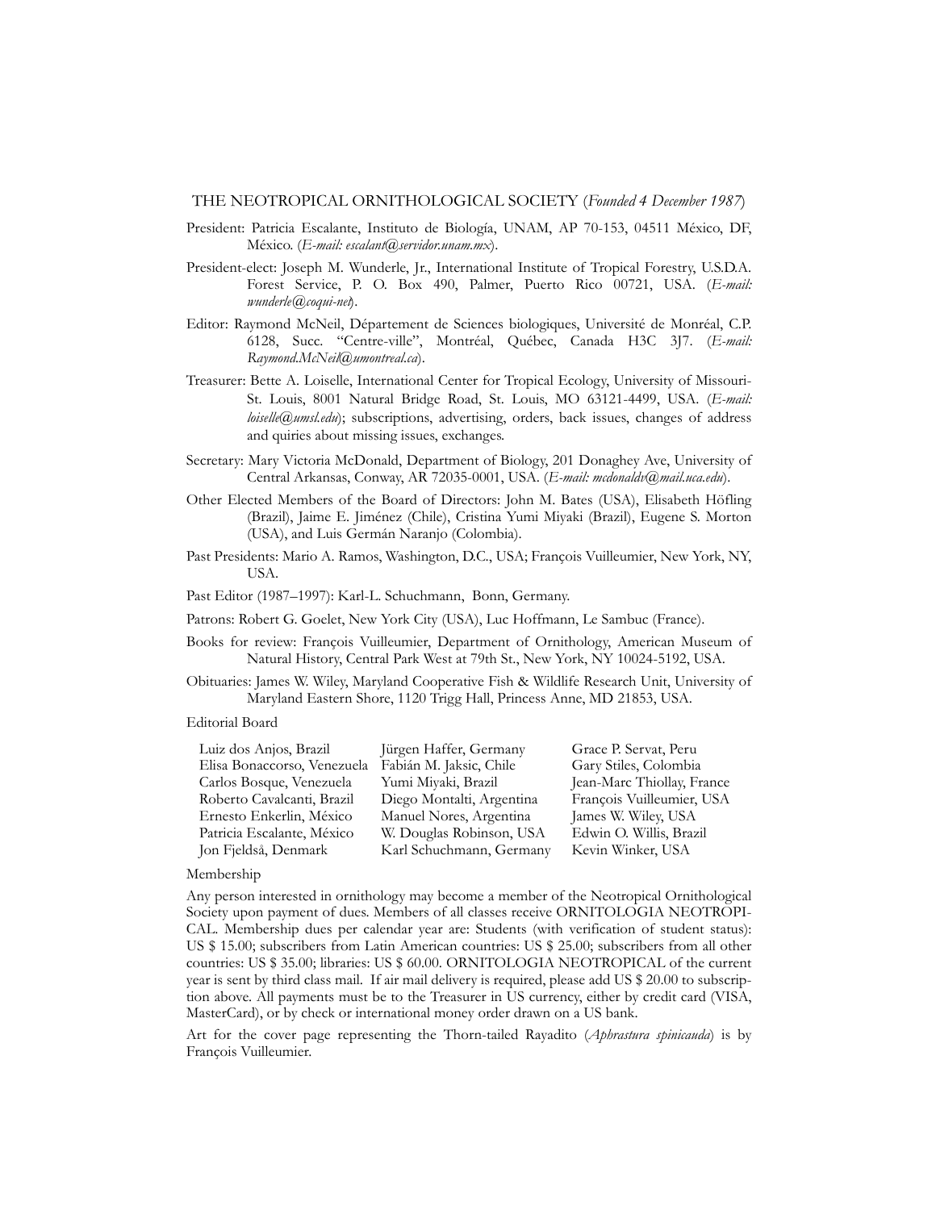#### THE NEOTROPICAL ORNITHOLOGICAL SOCIETY (*Founded 4 December 1987*)

- President: Patricia Escalante, Instituto de Biología, UNAM, AP 70-153, 04511 México, DF, México. (*E-mail: escalant@servidor.unam.mx*).
- President-elect: Joseph M. Wunderle, Jr., International Institute of Tropical Forestry, U.S.D.A. Forest Service, P. O. Box 490, Palmer, Puerto Rico 00721, USA. (*E-mail: wunderle@coqui-net*).
- Editor: Raymond McNeil, Département de Sciences biologiques, Université de Monréal, C.P. 6128, Succ. "Centre-ville", Montréal, Québec, Canada H3C 3J7. (*E-mail: Raymond.McNeil@umontreal.ca*).
- Treasurer: Bette A. Loiselle, International Center for Tropical Ecology, University of Missouri-St. Louis, 8001 Natural Bridge Road, St. Louis, MO 63121-4499, USA. (*E-mail: loiselle@umsl.edu*); subscriptions, advertising, orders, back issues, changes of address and quiries about missing issues, exchanges.
- Secretary: Mary Victoria McDonald, Department of Biology, 201 Donaghey Ave, University of Central Arkansas, Conway, AR 72035-0001, USA. (*E-mail: mcdonaldv@mail.uca.edu*).
- Other Elected Members of the Board of Directors: John M. Bates (USA), Elisabeth Höfling (Brazil), Jaime E. Jiménez (Chile), Cristina Yumi Miyaki (Brazil), Eugene S. Morton (USA), and Luis Germán Naranjo (Colombia).
- Past Presidents: Mario A. Ramos, Washington, D.C., USA; François Vuilleumier, New York, NY, USA.

Past Editor (1987–1997): Karl-L. Schuchmann, Bonn, Germany.

- Patrons: Robert G. Goelet, New York City (USA), Luc Hoffmann, Le Sambuc (France).
- Books for review: François Vuilleumier, Department of Ornithology, American Museum of Natural History, Central Park West at 79th St., New York, NY 10024-5192, USA.
- Obituaries: James W. Wiley, Maryland Cooperative Fish & Wildlife Research Unit, University of Maryland Eastern Shore, 1120 Trigg Hall, Princess Anne, MD 21853, USA.

## Editorial Board

| Luiz dos Anjos, Brazil      | Jürgen Haffer, Germany    | Grace P. Servat, Peru      |
|-----------------------------|---------------------------|----------------------------|
| Elisa Bonaccorso, Venezuela | Fabián M. Jaksic, Chile   | Gary Stiles, Colombia      |
| Carlos Bosque, Venezuela    | Yumi Miyaki, Brazil       | Jean-Marc Thiollay, France |
| Roberto Cavalcanti, Brazil  | Diego Montalti, Argentina | François Vuilleumier, USA  |
| Ernesto Enkerlin, México    | Manuel Nores, Argentina   | James W. Wiley, USA        |
| Patricia Escalante, México  | W. Douglas Robinson, USA  | Edwin O. Willis, Brazil    |
| Jon Fjeldså, Denmark        | Karl Schuchmann, Germany  | Kevin Winker, USA          |

#### Membership

Any person interested in ornithology may become a member of the Neotropical Ornithological Society upon payment of dues. Members of all classes receive ORNITOLOGIA NEOTROPI-CAL. Membership dues per calendar year are: Students (with verification of student status): US \$ 15.00; subscribers from Latin American countries: US \$ 25.00; subscribers from all other countries: US \$ 35.00; libraries: US \$ 60.00. ORNITOLOGIA NEOTROPICAL of the current year is sent by third class mail. If air mail delivery is required, please add US \$ 20.00 to subscription above. All payments must be to the Treasurer in US currency, either by credit card (VISA, MasterCard), or by check or international money order drawn on a US bank.

Art for the cover page representing the Thorn-tailed Rayadito (*Aphrastura spinicauda*) is by François Vuilleumier.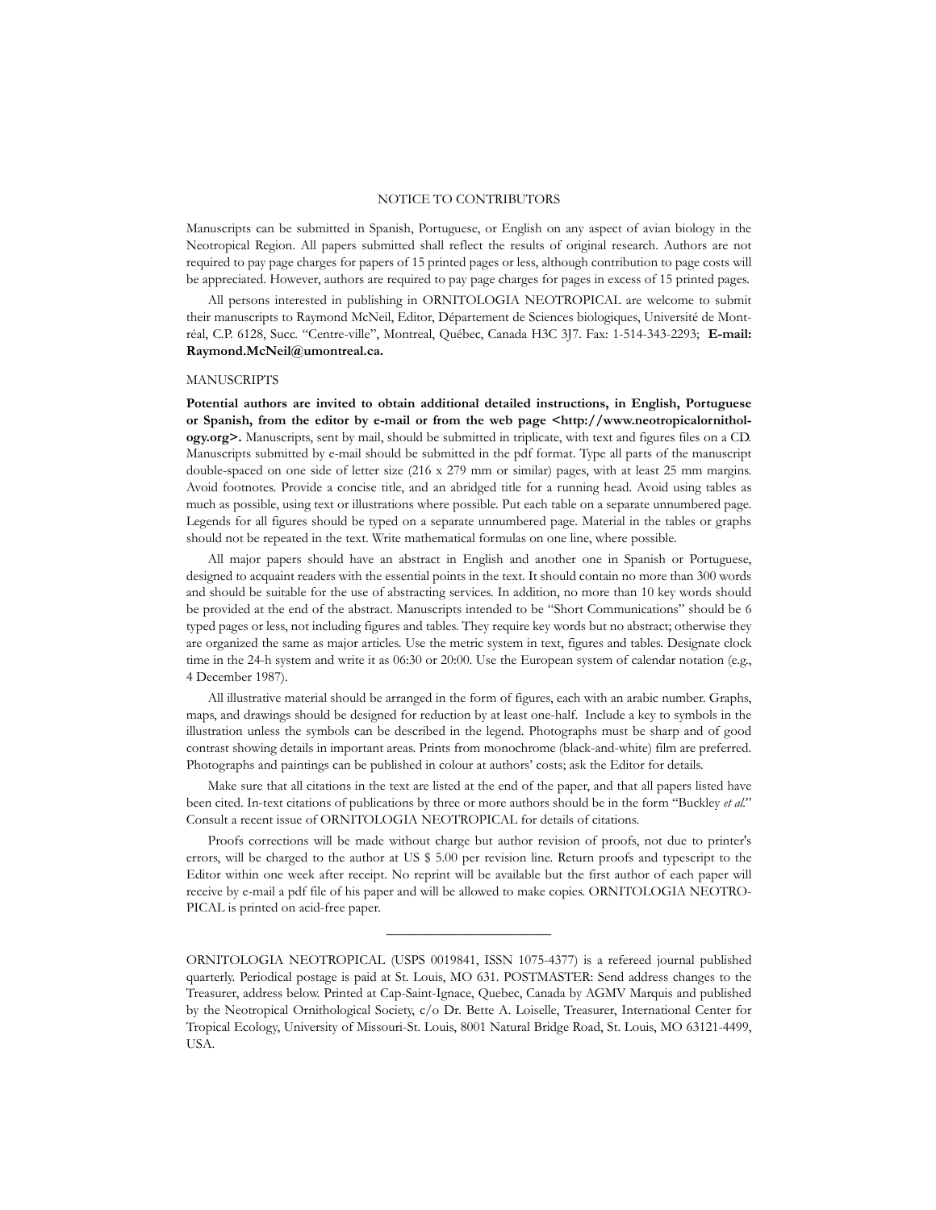### NOTICE TO CONTRIBUTORS

Manuscripts can be submitted in Spanish, Portuguese, or English on any aspect of avian biology in the Neotropical Region. All papers submitted shall reflect the results of original research. Authors are not required to pay page charges for papers of 15 printed pages or less, although contribution to page costs will be appreciated. However, authors are required to pay page charges for pages in excess of 15 printed pages.

All persons interested in publishing in ORNITOLOGIA NEOTROPICAL are welcome to submit their manuscripts to Raymond McNeil, Editor, Département de Sciences biologiques, Université de Montréal, C.P. 6128, Succ. "Centre-ville", Montreal, Québec, Canada H3C 3J7. Fax: 1-514-343-2293; **E-mail: Raymond.McNeil@umontreal.ca.**

#### **MANUSCRIPTS**

**Potential authors are invited to obtain additional detailed instructions, in English, Portuguese** or Spanish, from the editor by e-mail or from the web page <http://www.neotropicalornithol**ogy.org>.** Manuscripts, sent by mail, should be submitted in triplicate, with text and figures files on a CD. Manuscripts submitted by e-mail should be submitted in the pdf format. Type all parts of the manuscript double-spaced on one side of letter size (216 x 279 mm or similar) pages, with at least 25 mm margins. Avoid footnotes. Provide a concise title, and an abridged title for a running head. Avoid using tables as much as possible, using text or illustrations where possible. Put each table on a separate unnumbered page. Legends for all figures should be typed on a separate unnumbered page. Material in the tables or graphs should not be repeated in the text. Write mathematical formulas on one line, where possible.

All major papers should have an abstract in English and another one in Spanish or Portuguese, designed to acquaint readers with the essential points in the text. It should contain no more than 300 words and should be suitable for the use of abstracting services. In addition, no more than 10 key words should be provided at the end of the abstract. Manuscripts intended to be "Short Communications" should be 6 typed pages or less, not including figures and tables. They require key words but no abstract; otherwise they are organized the same as major articles. Use the metric system in text, figures and tables. Designate clock time in the 24-h system and write it as 06:30 or 20:00. Use the European system of calendar notation (e.g., 4 December 1987).

All illustrative material should be arranged in the form of figures, each with an arabic number. Graphs, maps, and drawings should be designed for reduction by at least one-half. Include a key to symbols in the illustration unless the symbols can be described in the legend. Photographs must be sharp and of good contrast showing details in important areas. Prints from monochrome (black-and-white) film are preferred. Photographs and paintings can be published in colour at authors' costs; ask the Editor for details.

Make sure that all citations in the text are listed at the end of the paper, and that all papers listed have been cited. In-text citations of publications by three or more authors should be in the form "Buckley *et al.*" Consult a recent issue of ORNITOLOGIA NEOTROPICAL for details of citations.

Proofs corrections will be made without charge but author revision of proofs, not due to printer's errors, will be charged to the author at US \$ 5.00 per revision line. Return proofs and typescript to the Editor within one week after receipt. No reprint will be available but the first author of each paper will receive by e-mail a pdf file of his paper and will be allowed to make copies. ORNITOLOGIA NEOTRO-PICAL is printed on acid-free paper.

————————————

ORNITOLOGIA NEOTROPICAL (USPS 0019841, ISSN 1075-4377) is a refereed journal published quarterly. Periodical postage is paid at St. Louis, MO 631. POSTMASTER: Send address changes to the Treasurer, address below. Printed at Cap-Saint-Ignace, Quebec, Canada by AGMV Marquis and published by the Neotropical Ornithological Society, c/o Dr. Bette A. Loiselle, Treasurer, International Center for Tropical Ecology, University of Missouri-St. Louis, 8001 Natural Bridge Road, St. Louis, MO 63121-4499, USA.